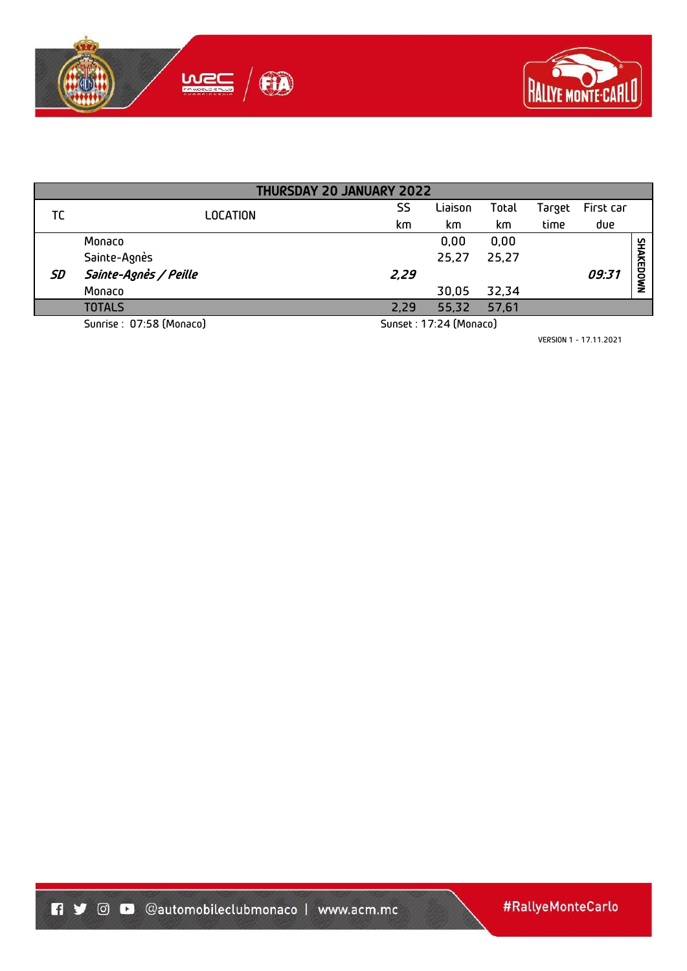



| <b>THURSDAY 20 JANUARY 2022</b> |                          |                 |      |                        |       |        |           |           |  |
|---------------------------------|--------------------------|-----------------|------|------------------------|-------|--------|-----------|-----------|--|
| ТC                              |                          | <b>LOCATION</b> | SS   | Liaison                | Total | Target | First car |           |  |
|                                 |                          | km              | km   | km                     | time  | due    |           |           |  |
|                                 | Monaco                   |                 |      | 0.00                   | 0,00  |        |           |           |  |
|                                 | Sainte-Agnès             |                 |      | 25,27                  | 25,27 |        |           |           |  |
| SD                              | Sainte-Agnès / Peille    |                 | 2,29 |                        |       |        | 09:31     | SHAKEDOWN |  |
|                                 | Monaco                   |                 |      | 30,05                  | 32,34 |        |           |           |  |
|                                 | <b>TOTALS</b>            |                 | 2,29 | 55,32                  | 57,61 |        |           |           |  |
|                                 | Sunrise : 07:58 (Monaco) |                 |      | Sunset: 17:24 (Monaco) |       |        |           |           |  |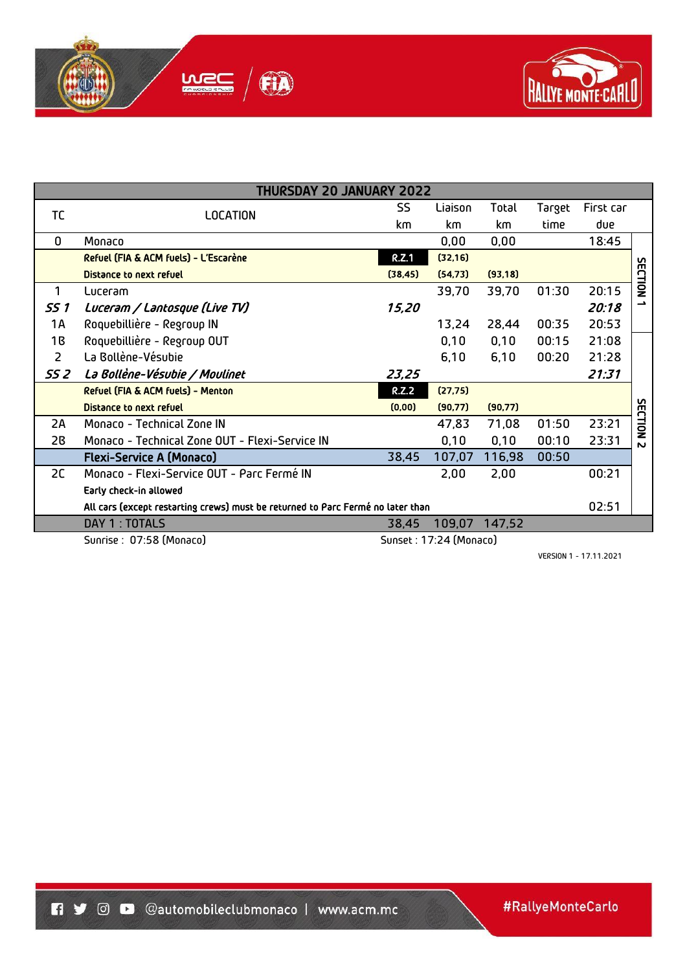



|                | <b>THURSDAY 20 JANUARY 2022</b>                                                 |              |          |          |                                          |           |                |
|----------------|---------------------------------------------------------------------------------|--------------|----------|----------|------------------------------------------|-----------|----------------|
| TC             | <b>LOCATION</b>                                                                 | SS           | Liaison  | Total    | Target                                   | First car |                |
|                |                                                                                 | km           | km       | km       | time<br>01:30<br>00:35<br>00:15<br>00:20 | due       |                |
| 0              | Monaco                                                                          |              | 0,00     | 0,00     |                                          | 18:45     |                |
|                | Refuel (FIA & ACM fuels) - L'Escarène                                           | <b>R.Z.1</b> | (32, 16) |          |                                          |           |                |
|                | <b>Distance to next refuel</b>                                                  | (38, 45)     | (54, 73) | (93, 18) |                                          |           | SECTION        |
| 1              | Luceram                                                                         |              | 39,70    | 39,70    |                                          | 20:15     |                |
| SS 1           | Luceram / Lantosque (Live TV)                                                   | 15,20        |          |          |                                          | 20:18     | د              |
| 1A             | Roquebillière - Regroup IN                                                      |              | 13,24    | 28,44    |                                          | 20:53     |                |
| 1B             | Roquebillière - Regroup OUT                                                     |              | 0,10     | 0,10     |                                          | 21:08     |                |
| $\overline{2}$ | La Bollène-Vésubie                                                              |              | 6,10     | 6,10     |                                          | 21:28     |                |
| SS 2           | La Bollène-Vésubie / Moulinet                                                   | 23,25        |          |          |                                          | 21:31     |                |
|                | <b>Refuel (FIA &amp; ACM fuels) - Menton</b>                                    | <b>R.Z.2</b> | (27, 75) |          |                                          |           |                |
|                | <b>Distance to next refuel</b>                                                  | (0,00)       | (90, 77) | (90, 77) |                                          |           |                |
| 2A             | Monaco - Technical Zone IN                                                      |              | 47,83    | 71,08    | 01:50                                    | 23:21     | <b>SECTION</b> |
| 2B             | Monaco - Technical Zone OUT - Flexi-Service IN                                  |              | 0,10     | 0,10     | 00:10                                    | 23:31     | N              |
|                | <b>Flexi-Service A (Monaco)</b>                                                 | 38,45        | 107,07   | 116,98   | 00:50                                    |           |                |
| 2C             | Monaco - Flexi-Service OUT - Parc Fermé IN                                      |              | 2,00     | 2,00     |                                          | 00:21     |                |
|                | Early check-in allowed                                                          |              |          |          |                                          |           |                |
|                | All cars (except restarting crews) must be returned to Parc Fermé no later than |              |          |          |                                          | 02:51     |                |
|                | DAY 1 : TOTALS                                                                  | 38,45        | 109,07   | 147,52   |                                          |           |                |
|                | Sunset: 17:24 (Monaco)<br>Sunrise : 07:58 (Monaco)                              |              |          |          |                                          |           |                |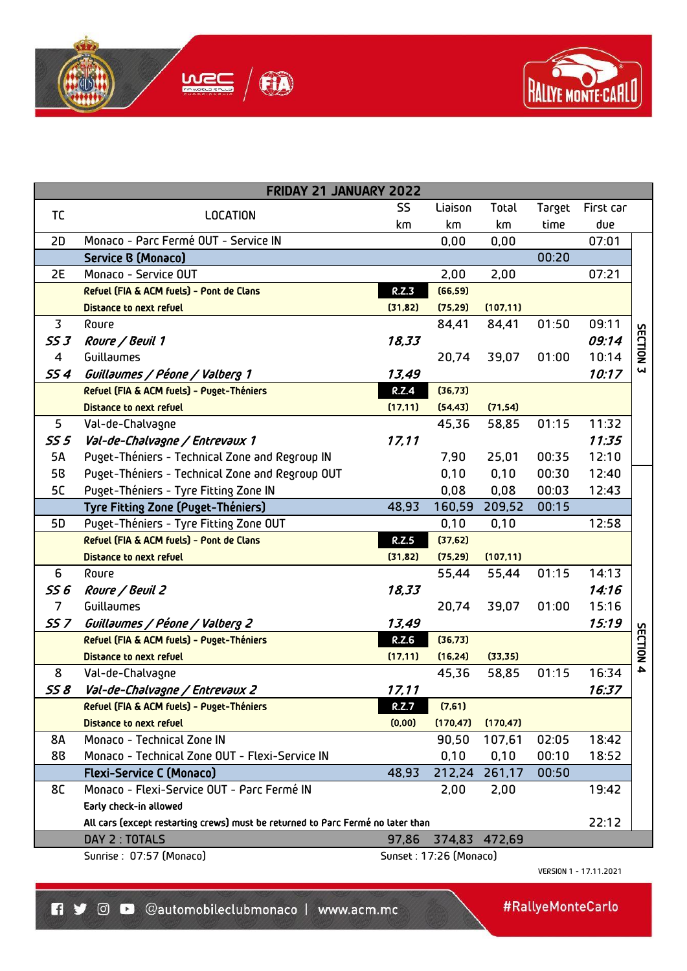



| FRIDAY 21 JANUARY 2022 |                                                                                 |              |                        |               |        |           |                         |
|------------------------|---------------------------------------------------------------------------------|--------------|------------------------|---------------|--------|-----------|-------------------------|
| TC                     | <b>LOCATION</b>                                                                 | <b>SS</b>    | Liaison                | Total         | Target | First car |                         |
|                        |                                                                                 | km           | km                     | km            | time   | due       |                         |
| 2D                     | Monaco - Parc Fermé OUT - Service IN                                            |              | 0,00                   | 0,00          |        | 07:01     |                         |
|                        | <b>Service B (Monaco)</b>                                                       |              |                        |               | 00:20  |           |                         |
| 2E                     | Monaco - Service OUT                                                            |              | 2,00                   | 2,00          |        | 07:21     |                         |
|                        | Refuel (FIA & ACM fuels) - Pont de Clans                                        | R.Z.3        | (66, 59)               |               |        |           |                         |
|                        | <b>Distance to next refuel</b>                                                  | (31, 82)     | (75, 29)               | (107, 11)     |        |           |                         |
| 3                      | Roure                                                                           |              | 84,41                  | 84,41         | 01:50  | 09:11     |                         |
| <b>SS 3</b>            | Roure / Beuil 1                                                                 | 18,33        |                        |               |        | 09:14     |                         |
| $\overline{4}$         | Guillaumes                                                                      |              | 20,74                  | 39,07         | 01:00  | 10:14     | SECTION                 |
| SS 4                   | Guillaumes / Péone / Valberg 1                                                  | 13,49        |                        |               |        | 10:17     | $\overline{\mathbf{u}}$ |
|                        | Refuel (FIA & ACM fuels) - Puget-Théniers                                       | <b>R.Z.4</b> | (36, 73)               |               |        |           |                         |
|                        | <b>Distance to next refuel</b>                                                  | (17, 11)     | (54, 43)               | (71, 54)      |        |           |                         |
| 5                      | Val-de-Chalvagne                                                                |              | 45,36                  | 58,85         | 01:15  | 11:32     |                         |
| <b>SS 5</b>            | Val-de-Chalvagne / Entrevaux 1                                                  | 17,11        |                        |               |        | 11:35     |                         |
| 5A                     | Puget-Théniers - Technical Zone and Regroup IN                                  |              | 7,90                   | 25,01         | 00:35  | 12:10     |                         |
| 5 <sub>B</sub>         | Puget-Théniers - Technical Zone and Regroup OUT                                 |              | 0,10                   | 0,10          | 00:30  | 12:40     |                         |
| 5C                     | Puget-Théniers - Tyre Fitting Zone IN                                           |              | 0,08                   | 0,08          | 00:03  | 12:43     |                         |
|                        | Tyre Fitting Zone (Puget-Théniers)                                              | 48,93        | 160,59                 | 209,52        | 00:15  |           |                         |
| 5D                     | Puget-Théniers - Tyre Fitting Zone OUT                                          |              | 0,10                   | 0,10          |        | 12:58     |                         |
|                        | Refuel (FIA & ACM fuels) - Pont de Clans                                        | R.Z.5        | (37, 62)               |               |        |           |                         |
|                        | <b>Distance to next refuel</b>                                                  | (31, 82)     | (75, 29)               | (107, 11)     |        |           |                         |
| 6                      | Roure                                                                           |              | 55,44                  | 55,44         | 01:15  | 14:13     |                         |
| <b>SS 6</b>            | Roure / Beuil 2                                                                 | 18,33        |                        |               |        | 14:16     |                         |
| $\overline{7}$         | Guillaumes                                                                      |              | 20,74                  | 39,07         | 01:00  | 15:16     |                         |
| SS <sub>7</sub>        | Guillaumes / Péone / Valberg 2                                                  | 13,49        |                        |               |        | 15:19     |                         |
|                        | Refuel (FIA & ACM fuels) - Puget-Théniers                                       | <b>R.Z.6</b> | (36, 73)               |               |        |           | <b>SECTION</b>          |
|                        | <b>Distance to next refuel</b>                                                  | (17, 11)     | (16, 24)               | (33, 35)      |        |           |                         |
| 8                      | Val-de-Chalvagne                                                                |              | 45,36                  | 58,85         | 01:15  | 16:34     | 4                       |
| SS 8                   | Val-de-Chalvagne / Entrevaux 2                                                  | 17,11        |                        |               |        | 16:37     |                         |
|                        | Refuel (FIA & ACM fuels) - Puget-Théniers                                       | <b>R.Z.7</b> | (7,61)                 |               |        |           |                         |
|                        | <b>Distance to next refuel</b>                                                  | (0,00)       | (170, 47)              | (170, 47)     |        |           |                         |
| <b>8A</b>              | Monaco - Technical Zone IN                                                      |              | 90,50                  | 107,61        | 02:05  | 18:42     |                         |
| 88                     | Monaco - Technical Zone OUT - Flexi-Service IN                                  |              | 0,10                   | 0,10          | 00:10  | 18:52     |                         |
|                        | <b>Flexi-Service C (Monaco)</b>                                                 | 48,93        | 212,24                 | 261,17        | 00:50  |           |                         |
| 8C                     | Monaco - Flexi-Service OUT - Parc Fermé IN                                      |              | 2,00                   | 2,00          |        | 19:42     |                         |
|                        | Early check-in allowed                                                          |              |                        |               |        |           |                         |
|                        | All cars (except restarting crews) must be returned to Parc Fermé no later than |              |                        |               |        | 22:12     |                         |
|                        | DAY 2 : TOTALS                                                                  | 97,86        |                        | 374,83 472,69 |        |           |                         |
|                        | Sunrise : 07:57 (Monaco)                                                        |              | Sunset: 17:26 (Monaco) |               |        |           |                         |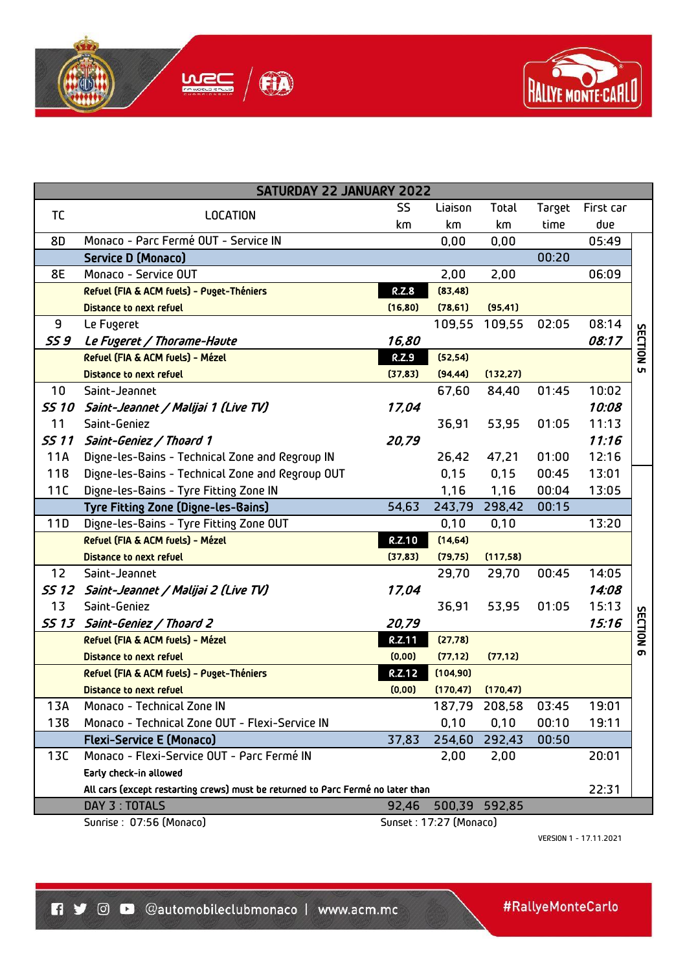



| <b>SATURDAY 22 JANUARY 2022</b> |                                                                                 |                        |           |               |        |           |                  |  |
|---------------------------------|---------------------------------------------------------------------------------|------------------------|-----------|---------------|--------|-----------|------------------|--|
| TC                              | <b>LOCATION</b>                                                                 | SS.                    | Liaison   | Total         | Target | First car |                  |  |
|                                 |                                                                                 | km                     | km        | km            | time   | due       |                  |  |
| 8D                              | Monaco - Parc Fermé OUT - Service IN                                            |                        | 0,00      | 0,00          |        | 05:49     |                  |  |
|                                 | Service D (Monaco)                                                              |                        |           |               | 00:20  |           |                  |  |
| 8E                              | Monaco - Service OUT                                                            |                        | 2,00      | 2,00          |        | 06:09     |                  |  |
|                                 | Refuel (FIA & ACM fuels) - Puget-Théniers                                       | R.Z.8                  | (83, 48)  |               |        |           |                  |  |
|                                 | <b>Distance to next refuel</b>                                                  | (16, 80)               | (78, 61)  | (95, 41)      |        |           |                  |  |
| 9                               | Le Fugeret                                                                      |                        | 109,55    | 109,55        | 02:05  | 08:14     |                  |  |
| <b>SS 9</b>                     | Le Fugeret / Thorame-Haute                                                      | 16,80                  |           |               |        | 08:17     |                  |  |
|                                 | Refuel (FIA & ACM fuels) - Mézel                                                | <b>R.Z.9</b>           | (52, 54)  |               |        |           | <b>SECTION 5</b> |  |
|                                 | <b>Distance to next refuel</b>                                                  | (37, 83)               | (94, 44)  | (132, 27)     |        |           |                  |  |
| 10                              | Saint-Jeannet                                                                   |                        | 67,60     | 84,40         | 01:45  | 10:02     |                  |  |
| <b>SS 10</b>                    | Saint-Jeannet / Malijai 1 (Live TV)                                             | 17,04                  |           |               |        | 10:08     |                  |  |
| 11                              | Saint-Geniez                                                                    |                        | 36,91     | 53,95         | 01:05  | 11:13     |                  |  |
| <b>SS 11</b>                    | Saint-Geniez / Thoard 1                                                         | 20,79                  |           |               |        | 11:16     |                  |  |
| 11A                             | Digne-les-Bains - Technical Zone and Regroup IN                                 |                        | 26,42     | 47,21         | 01:00  | 12:16     |                  |  |
| 11B                             | Digne-les-Bains - Technical Zone and Regroup OUT                                |                        | 0,15      | 0,15          | 00:45  | 13:01     |                  |  |
| 11C                             | Digne-les-Bains - Tyre Fitting Zone IN                                          |                        | 1,16      | 1,16          | 00:04  | 13:05     |                  |  |
|                                 | Tyre Fitting Zone (Digne-les-Bains)                                             | 54,63                  |           | 243,79 298,42 | 00:15  |           |                  |  |
| 11D                             | Digne-les-Bains - Tyre Fitting Zone OUT                                         |                        | 0,10      | 0,10          |        | 13:20     |                  |  |
|                                 | Refuel (FIA & ACM fuels) - Mézel                                                | <b>R.Z.10</b>          | (14, 64)  |               |        |           |                  |  |
|                                 | <b>Distance to next refuel</b>                                                  | (37, 83)               | (79, 75)  | (117,58)      |        |           |                  |  |
| 12                              | Saint-Jeannet                                                                   |                        | 29,70     | 29,70         | 00:45  | 14:05     |                  |  |
| SS 12                           | Saint-Jeannet / Malijai 2 (Live TV)                                             | 17,04                  |           |               |        | 14:08     |                  |  |
| 13                              | Saint-Geniez                                                                    |                        | 36,91     | 53,95         | 01:05  | 15:13     |                  |  |
| <b>SS 13</b>                    | Saint-Geniez / Thoard 2                                                         | 20,79                  |           |               |        | 15:16     | <b>SECTION</b>   |  |
|                                 | Refuel (FIA & ACM fuels) - Mézel                                                | <b>R.Z.11</b>          | (27, 78)  |               |        |           |                  |  |
|                                 | <b>Distance to next refuel</b>                                                  | (0,00)                 | (77, 12)  | (77, 12)      |        |           | თ                |  |
|                                 | Refuel (FIA & ACM fuels) - Puget-Théniers                                       | <b>R.Z.12</b>          | (104, 90) |               |        |           |                  |  |
|                                 | <b>Distance to next refuel</b>                                                  | (0,00)                 | (170, 47) | (170, 47)     |        |           |                  |  |
| 13A                             | Monaco - Technical Zone IN                                                      |                        |           | 187,79 208,58 | 03:45  | 19:01     |                  |  |
| <b>13B</b>                      | Monaco - Technical Zone OUT - Flexi-Service IN                                  |                        | 0,10      | 0,10          | 00:10  | 19:11     |                  |  |
|                                 | <b>Flexi-Service E (Monaco)</b>                                                 | 37,83                  | 254,60    | 292,43        | 00:50  |           |                  |  |
| 13C                             | Monaco - Flexi-Service OUT - Parc Fermé IN                                      |                        | 2,00      | 2,00          |        | 20:01     |                  |  |
|                                 | Early check-in allowed                                                          |                        |           |               |        |           |                  |  |
|                                 | All cars (except restarting crews) must be returned to Parc Fermé no later than |                        |           |               |        | 22:31     |                  |  |
|                                 | DAY 3 : TOTALS                                                                  | 92,46                  |           | 500,39 592,85 |        |           |                  |  |
|                                 | Sunrise : 07:56 (Monaco)                                                        | Sunset: 17:27 (Monaco) |           |               |        |           |                  |  |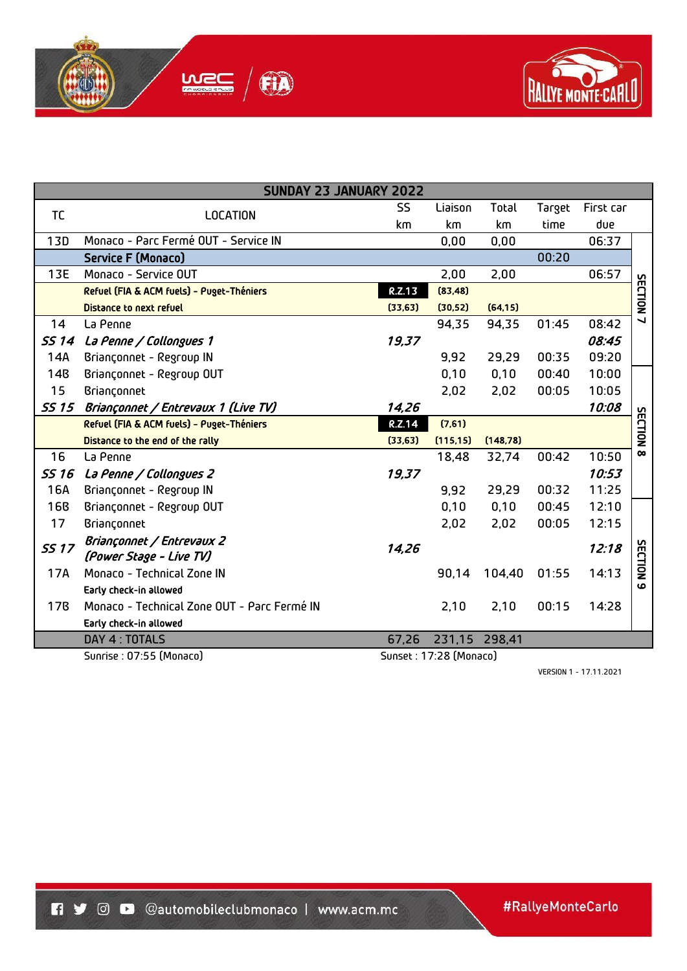



| SUNDAY 23 JANUARY 2022 |                                                    |               |           |           |                                                                                                         |           |                      |  |
|------------------------|----------------------------------------------------|---------------|-----------|-----------|---------------------------------------------------------------------------------------------------------|-----------|----------------------|--|
| <b>TC</b>              | <b>LOCATION</b>                                    | SS            | Liaison   | Total     | Target                                                                                                  | First car |                      |  |
|                        |                                                    | km            | km        | km        | time<br>00:20<br>01:45<br>00:35<br>00:40<br>00:05<br>00:42<br>00:32<br>00:45<br>00:05<br>01:55<br>00:15 | due       |                      |  |
| <b>13D</b>             | Monaco - Parc Fermé OUT - Service IN               |               | 0,00      | 0,00      |                                                                                                         | 06:37     |                      |  |
|                        | <b>Service F (Monaco)</b>                          |               |           |           |                                                                                                         |           |                      |  |
| 13E                    | Monaco - Service OUT                               |               | 2,00      | 2,00      |                                                                                                         | 06:57     |                      |  |
|                        | Refuel (FIA & ACM fuels) - Puget-Théniers          | <b>R.Z.13</b> | (83, 48)  |           |                                                                                                         |           |                      |  |
|                        | <b>Distance to next refuel</b>                     | (33, 63)      | (30, 52)  | (64, 15)  |                                                                                                         |           | SECTION <sub>7</sub> |  |
| 14                     | La Penne                                           |               | 94,35     | 94,35     |                                                                                                         | 08:42     |                      |  |
| <b>SS 14</b>           | La Penne / Collongues 1                            | 19,37         |           |           |                                                                                                         | 08:45     |                      |  |
| 14A                    | Briançonnet - Regroup IN                           |               | 9,92      | 29,29     |                                                                                                         | 09:20     |                      |  |
| <b>14B</b>             | Briançonnet - Regroup OUT                          |               | 0,10      | 0,10      |                                                                                                         | 10:00     |                      |  |
| 15                     | Briançonnet                                        |               | 2,02      | 2,02      |                                                                                                         | 10:05     |                      |  |
| <b>SS 15</b>           | Briançonnet / Entrevaux 1 (Live TV)                | 14,26         |           |           |                                                                                                         | 10:08     |                      |  |
|                        | Refuel (FIA & ACM fuels) - Puget-Théniers          | <b>R.Z.14</b> | (7,61)    |           |                                                                                                         |           | SECTION              |  |
|                        | Distance to the end of the rally                   | (33, 63)      | (115, 15) | (148, 78) |                                                                                                         |           |                      |  |
| 16                     | La Penne                                           |               | 18,48     | 32,74     |                                                                                                         | 10:50     | $\infty$             |  |
| <b>SS 16</b>           | La Penne / Collongues 2                            | 19,37         |           |           |                                                                                                         | 10:53     |                      |  |
| 16A                    | Briançonnet - Regroup IN                           |               | 9,92      | 29,29     |                                                                                                         | 11:25     |                      |  |
| <b>16B</b>             | Briançonnet - Regroup OUT                          |               | 0,10      | 0,10      |                                                                                                         | 12:10     |                      |  |
| 17                     | Briançonnet                                        |               | 2,02      | 2,02      |                                                                                                         | 12:15     |                      |  |
| <b>SS 17</b>           | Briançonnet / Entrevaux 2                          | 14,26         |           |           |                                                                                                         | 12:18     |                      |  |
|                        | (Power Stage - Live TV)                            |               |           |           |                                                                                                         |           | <b>SECTION</b>       |  |
| 17A                    | Monaco - Technical Zone IN                         |               | 90,14     | 104,40    |                                                                                                         | 14:13     | $\omega$             |  |
|                        | Early check-in allowed                             |               |           |           |                                                                                                         |           |                      |  |
| <b>17B</b>             | Monaco - Technical Zone OUT - Parc Fermé IN        |               | 2,10      | 2,10      |                                                                                                         | 14:28     |                      |  |
|                        | Early check-in allowed                             |               |           |           |                                                                                                         |           |                      |  |
|                        | DAY 4 : TOTALS                                     | 67,26         | 231,15    | 298,41    |                                                                                                         |           |                      |  |
|                        | Sunset: 17:28 (Monaco)<br>Sunrise : 07:55 (Monaco) |               |           |           |                                                                                                         |           |                      |  |